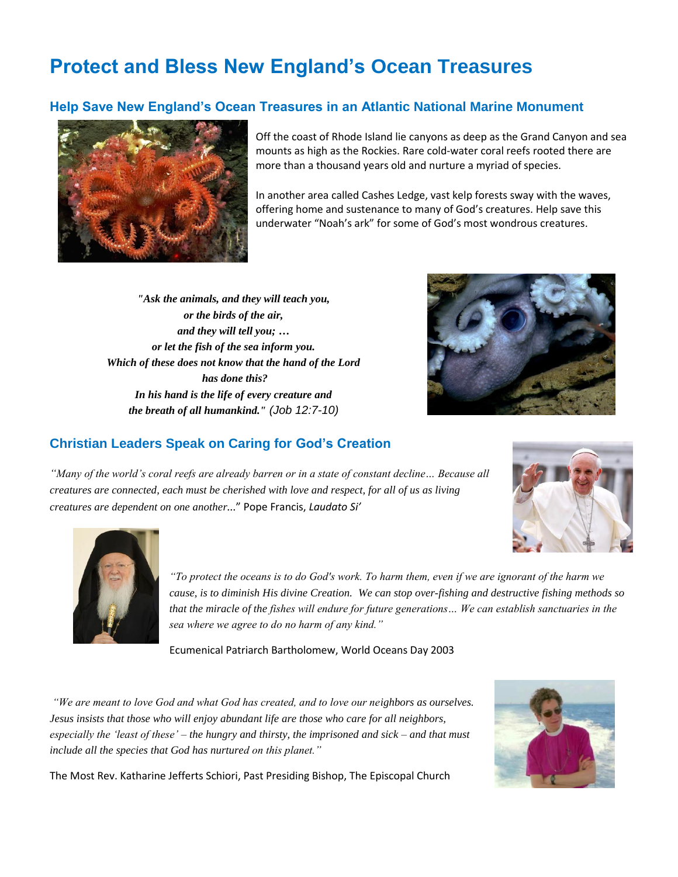## **Protect and Bless New England's Ocean Treasures**

## **Help Save New England's Ocean Treasures in an Atlantic National Marine Monument**



Off the coast of Rhode Island lie canyons as deep as the Grand Canyon and sea mounts as high as the Rockies. Rare cold-water coral reefs rooted there are more than a thousand years old and nurture a myriad of species.

In another area called Cashes Ledge, vast kelp forests sway with the waves, offering home and sustenance to many of God's creatures. Help save this underwater "Noah's ark" for some of God's most wondrous creatures.

*"Ask the animals, and they will teach you, or the birds of the air, and they will tell you; … or let the fish of the sea inform you. Which of these does not know that the hand of the Lord has done this? In his hand is the life of every creature and the breath of all humankind." (Job 12:7-10)*



## **Christian Leaders Speak on Caring for God's Creation**

*"Many of the world's coral reefs are already barren or in a state of constant decline… Because all creatures are connected, each must be cherished with love and respect, for all of us as living creatures are dependent on one another...*" Pope Francis, *Laudato Si'* 





*"To protect the oceans is to do God's work. To harm them, even if we are ignorant of the harm we cause, is to diminish His divine Creation. We can stop over-fishing and destructive fishing methods so that the miracle of the fishes will endure for future generations… We can establish sanctuaries in the sea where we agree to do no harm of any kind."*

Ecumenical Patriarch Bartholomew, World Oceans Day 2003

*"We are meant to love God and what God has created, and to love our neighbors as ourselves. Jesus insists that those who will enjoy abundant life are those who care for all neighbors, especially the 'least of these' – the hungry and thirsty, the imprisoned and sick – and that must include all the species that God has nurtured on this planet."*



The Most Rev. Katharine Jefferts Schiori, Past Presiding Bishop, The Episcopal Church